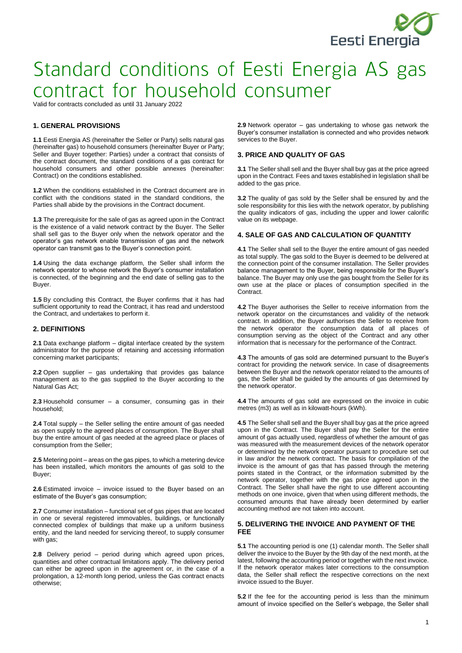

Valid for contracts concluded as until 31 January 2022

### **1. GENERAL PROVISIONS**

**1.1** Eesti Energia AS (hereinafter the Seller or Party) sells natural gas (hereinafter gas) to household consumers (hereinafter Buyer or Party; Seller and Buyer together: Parties) under a contract that consists of the contract document, the standard conditions of a gas contract for household consumers and other possible annexes (hereinafter: Contract) on the conditions established.

**1.2** When the conditions established in the Contract document are in conflict with the conditions stated in the standard conditions, the Parties shall abide by the provisions in the Contract document.

**1.3** The prerequisite for the sale of gas as agreed upon in the Contract is the existence of a valid network contract by the Buyer. The Seller shall sell gas to the Buyer only when the network operator and the operator's gas network enable transmission of gas and the network operator can transmit gas to the Buyer's connection point.

**1.4** Using the data exchange platform, the Seller shall inform the network operator to whose network the Buyer's consumer installation is connected, of the beginning and the end date of selling gas to the Buyer.

**1.5** By concluding this Contract, the Buyer confirms that it has had sufficient opportunity to read the Contract, it has read and understood the Contract, and undertakes to perform it.

# **2. DEFINITIONS**

**2.1** Data exchange platform – digital interface created by the system administrator for the purpose of retaining and accessing information concerning market participants;

**2.2** Open supplier – gas undertaking that provides gas balance management as to the gas supplied to the Buyer according to the Natural Gas Act;

**2.3** Household consumer – a consumer, consuming gas in their household;

**2.4** Total supply – the Seller selling the entire amount of gas needed as open supply to the agreed places of consumption. The Buyer shall buy the entire amount of gas needed at the agreed place or places of consumption from the Seller;

**2.5** Metering point – areas on the gas pipes, to which a metering device has been installed, which monitors the amounts of gas sold to the Buyer;

**2.6** Estimated invoice – invoice issued to the Buyer based on an estimate of the Buyer's gas consumption;

**2.7** Consumer installation – functional set of gas pipes that are located in one or several registered immovables, buildings, or functionally connected complex of buildings that make up a uniform business entity, and the land needed for servicing thereof, to supply consumer with gas;

**2.8** Delivery period – period during which agreed upon prices, quantities and other contractual limitations apply. The delivery period can either be agreed upon in the agreement or, in the case of a prolongation, a 12-month long period, unless the Gas contract enacts otherwise;

**2.9** Network operator – gas undertaking to whose gas network the Buyer's consumer installation is connected and who provides network services to the Buyer.

### **3. PRICE AND QUALITY OF GAS**

**3.1** The Seller shall sell and the Buyer shall buy gas at the price agreed upon in the Contract. Fees and taxes established in legislation shall be added to the gas price.

**3.2** The quality of gas sold by the Seller shall be ensured by and the sole responsibility for this lies with the network operator, by publishing the quality indicators of gas, including the upper and lower calorific value on its webpage.

#### **4. SALE OF GAS AND CALCULATION OF QUANTITY**

**4.1** The Seller shall sell to the Buyer the entire amount of gas needed as total supply. The gas sold to the Buyer is deemed to be delivered at the connection point of the consumer installation. The Seller provides balance management to the Buyer, being responsible for the Buyer's balance. The Buyer may only use the gas bought from the Seller for its own use at the place or places of consumption specified in the Contract.

**4.2** The Buyer authorises the Seller to receive information from the network operator on the circumstances and validity of the network contract. In addition, the Buyer authorises the Seller to receive from the network operator the consumption data of all places of consumption serving as the object of the Contract and any other information that is necessary for the performance of the Contract.

**4.3** The amounts of gas sold are determined pursuant to the Buyer's contract for providing the network service. In case of disagreements between the Buyer and the network operator related to the amounts of gas, the Seller shall be guided by the amounts of gas determined by the network operator.

**4.4** The amounts of gas sold are expressed on the invoice in cubic metres (m3) as well as in kilowatt-hours (kWh).

**4.5** The Seller shall sell and the Buyer shall buy gas at the price agreed upon in the Contract. The Buyer shall pay the Seller for the entire amount of gas actually used, regardless of whether the amount of gas was measured with the measurement devices of the network operator or determined by the network operator pursuant to procedure set out in law and/or the network contract. The basis for compilation of the invoice is the amount of gas that has passed through the metering points stated in the Contract, or the information submitted by the network operator, together with the gas price agreed upon in the Contract. The Seller shall have the right to use different accounting methods on one invoice, given that when using different methods, the consumed amounts that have already been determined by earlier accounting method are not taken into account.

## **5. DELIVERING THE INVOICE AND PAYMENT OF THE FEE**

**5.1** The accounting period is one (1) calendar month. The Seller shall deliver the invoice to the Buyer by the 9th day of the next month, at the latest, following the accounting period or together with the next invoice. If the network operator makes later corrections to the consumption data, the Seller shall reflect the respective corrections on the next invoice issued to the Buyer.

**5.2** If the fee for the accounting period is less than the minimum amount of invoice specified on the Seller's webpage, the Seller shall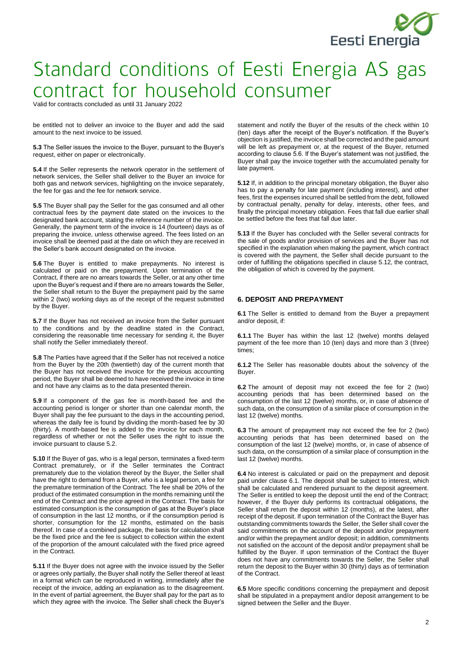

Valid for contracts concluded as until 31 January 2022

be entitled not to deliver an invoice to the Buyer and add the said amount to the next invoice to be issued.

**5.3** The Seller issues the invoice to the Buyer, pursuant to the Buyer's request, either on paper or electronically.

**5.4** If the Seller represents the network operator in the settlement of network services, the Seller shall deliver to the Buyer an invoice for both gas and network services, highlighting on the invoice separately, the fee for gas and the fee for network service.

**5.5** The Buyer shall pay the Seller for the gas consumed and all other contractual fees by the payment date stated on the invoices to the designated bank account, stating the reference number of the invoice. Generally, the payment term of the invoice is 14 (fourteen) days as of preparing the invoice, unless otherwise agreed. The fees listed on an invoice shall be deemed paid at the date on which they are received in the Seller's bank account designated on the invoice.

**5.6** The Buyer is entitled to make prepayments. No interest is calculated or paid on the prepayment. Upon termination of the Contract, if there are no arrears towards the Seller, or at any other time upon the Buyer's request and if there are no arrears towards the Seller, the Seller shall return to the Buyer the prepayment paid by the same within 2 (two) working days as of the receipt of the request submitted by the Buyer.

**5.7** If the Buyer has not received an invoice from the Seller pursuant to the conditions and by the deadline stated in the Contract, considering the reasonable time necessary for sending it, the Buyer shall notify the Seller immediately thereof.

**5.8** The Parties have agreed that if the Seller has not received a notice from the Buyer by the 20th (twentieth) day of the current month that the Buyer has not received the invoice for the previous accounting period, the Buyer shall be deemed to have received the invoice in time and not have any claims as to the data presented therein.

**5.9** If a component of the gas fee is month-based fee and the accounting period is longer or shorter than one calendar month, the Buyer shall pay the fee pursuant to the days in the accounting period, whereas the daily fee is found by dividing the month-based fee by 30 (thirty). A month-based fee is added to the invoice for each month, regardless of whether or not the Seller uses the right to issue the invoice pursuant to clause 5.2.

**5.10** If the Buyer of gas, who is a legal person, terminates a fixed-term Contract prematurely, or if the Seller terminates the Contract prematurely due to the violation thereof by the Buyer, the Seller shall have the right to demand from a Buyer, who is a legal person, a fee for the premature termination of the Contract. The fee shall be 20% of the product of the estimated consumption in the months remaining until the end of the Contract and the price agreed in the Contract. The basis for estimated consumption is the consumption of gas at the Buyer's place of consumption in the last 12 months, or if the consumption period is shorter, consumption for the 12 months, estimated on the basis thereof. In case of a combined package, the basis for calculation shall be the fixed price and the fee is subject to collection within the extent of the proportion of the amount calculated with the fixed price agreed in the Contract.

**5.11** If the Buyer does not agree with the invoice issued by the Seller or agrees only partially, the Buyer shall notify the Seller thereof at least in a format which can be reproduced in writing, immediately after the receipt of the invoice, adding an explanation as to the disagreement. In the event of partial agreement, the Buyer shall pay for the part as to which they agree with the invoice. The Seller shall check the Buyer's

statement and notify the Buyer of the results of the check within 10 (ten) days after the receipt of the Buyer's notification. If the Buyer's objection is justified, the invoice shall be corrected and the paid amount will be left as prepayment or, at the request of the Buyer, returned according to clause 5.6. If the Buyer's statement was not justified, the Buyer shall pay the invoice together with the accumulated penalty for late payment.

**5.12** If, in addition to the principal monetary obligation, the Buyer also has to pay a penalty for late payment (including interest), and other fees, first the expenses incurred shall be settled from the debt, followed by contractual penalty, penalty for delay, interests, other fees, and finally the principal monetary obligation. Fees that fall due earlier shall be settled before the fees that fall due later.

**5.13** If the Buyer has concluded with the Seller several contracts for the sale of goods and/or provision of services and the Buyer has not specified in the explanation when making the payment, which contract is covered with the payment, the Seller shall decide pursuant to the order of fulfilling the obligations specified in clause 5.12, the contract, the obligation of which is covered by the payment.

### **6. DEPOSIT AND PREPAYMENT**

**6.1** The Seller is entitled to demand from the Buyer a prepayment and/or deposit, if:

**6.1.1** The Buyer has within the last 12 (twelve) months delayed payment of the fee more than 10 (ten) days and more than 3 (three) times;

**6.1.2** The Seller has reasonable doubts about the solvency of the Buyer.

**6.2** The amount of deposit may not exceed the fee for 2 (two) accounting periods that has been determined based on the consumption of the last 12 (twelve) months, or, in case of absence of such data, on the consumption of a similar place of consumption in the last 12 (twelve) months.

**6.3** The amount of prepayment may not exceed the fee for 2 (two) accounting periods that has been determined based on the consumption of the last 12 (twelve) months, or, in case of absence of such data, on the consumption of a similar place of consumption in the last 12 (twelve) months.

**6.4** No interest is calculated or paid on the prepayment and deposit paid under clause 6.1. The deposit shall be subject to interest, which shall be calculated and rendered pursuant to the deposit agreement. The Seller is entitled to keep the deposit until the end of the Contract; however, if the Buyer duly performs its contractual obligations, the Seller shall return the deposit within 12 (months), at the latest, after receipt of the deposit. If upon termination of the Contract the Buyer has outstanding commitments towards the Seller, the Seller shall cover the said commitments on the account of the deposit and/or prepayment and/or within the prepayment and/or deposit; in addition, commitments not satisfied on the account of the deposit and/or prepayment shall be fulfilled by the Buyer. If upon termination of the Contract the Buyer does not have any commitments towards the Seller, the Seller shall return the deposit to the Buyer within 30 (thirty) days as of termination of the Contract.

**6.5** More specific conditions concerning the prepayment and deposit shall be stipulated in a prepayment and/or deposit arrangement to be signed between the Seller and the Buyer.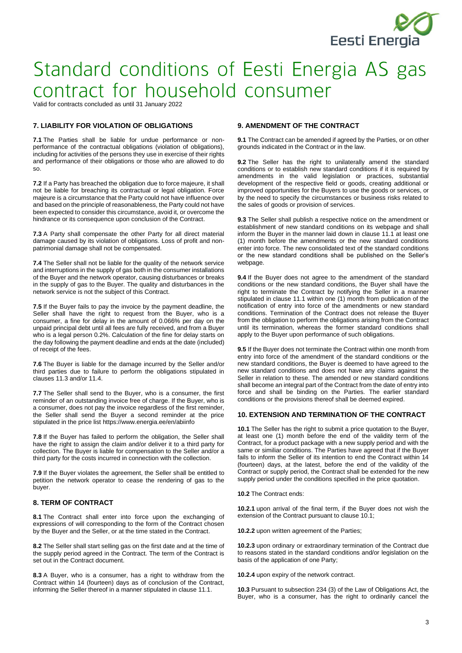

Valid for contracts concluded as until 31 January 2022

# **7. LIABILITY FOR VIOLATION OF OBLIGATIONS**

**7.1** The Parties shall be liable for undue performance or nonperformance of the contractual obligations (violation of obligations), including for activities of the persons they use in exercise of their rights and performance of their obligations or those who are allowed to do so.

**7.2** If a Party has breached the obligation due to force majeure, it shall not be liable for breaching its contractual or legal obligation. Force majeure is a circumstance that the Party could not have influence over and based on the principle of reasonableness, the Party could not have been expected to consider this circumstance, avoid it, or overcome the hindrance or its consequence upon conclusion of the Contract.

**7.3** A Party shall compensate the other Party for all direct material damage caused by its violation of obligations. Loss of profit and nonpatrimonial damage shall not be compensated.

**7.4** The Seller shall not be liable for the quality of the network service and interruptions in the supply of gas both in the consumer installations of the Buyer and the network operator, causing disturbances or breaks in the supply of gas to the Buyer. The quality and disturbances in the network service is not the subject of this Contract.

**7.5** If the Buyer fails to pay the invoice by the payment deadline, the Seller shall have the right to request from the Buyer, who is a consumer, a fine for delay in the amount of 0.066% per day on the unpaid principal debt until all fees are fully received, and from a Buyer who is a legal person 0.2%. Calculation of the fine for delay starts on the day following the payment deadline and ends at the date (included) of receipt of the fees.

**7.6** The Buyer is liable for the damage incurred by the Seller and/or third parties due to failure to perform the obligations stipulated in clauses 11.3 and/or 11.4.

**7.7** The Seller shall send to the Buyer, who is a consumer, the first reminder of an outstanding invoice free of charge. If the Buyer, who is a consumer, does not pay the invoice regardless of the first reminder, the Seller shall send the Buyer a second reminder at the price stipulated in the price list https://www.energia.ee/en/abiinfo

**7.8** If the Buyer has failed to perform the obligation, the Seller shall have the right to assign the claim and/or deliver it to a third party for collection. The Buyer is liable for compensation to the Seller and/or a third party for the costs incurred in connection with the collection.

**7.9** If the Buyer violates the agreement, the Seller shall be entitled to petition the network operator to cease the rendering of gas to the buyer.

# **8. TERM OF CONTRACT**

**8.1** The Contract shall enter into force upon the exchanging of expressions of will corresponding to the form of the Contract chosen by the Buyer and the Seller, or at the time stated in the Contract.

**8.2** The Seller shall start selling gas on the first date and at the time of the supply period agreed in the Contract. The term of the Contract is set out in the Contract document.

**8.3** A Buyer, who is a consumer, has a right to withdraw from the Contract within 14 (fourteen) days as of conclusion of the Contract, informing the Seller thereof in a manner stipulated in clause 11.1.

# **9. AMENDMENT OF THE CONTRACT**

**9.1** The Contract can be amended if agreed by the Parties, or on other grounds indicated in the Contract or in the law.

**9.2** The Seller has the right to unilaterally amend the standard conditions or to establish new standard conditions if it is required by amendments in the valid legislation or practices, substantial development of the respective field or goods, creating additional or improved opportunities for the Buyers to use the goods or services, or by the need to specify the circumstances or business risks related to the sales of goods or provision of services.

**9.3** The Seller shall publish a respective notice on the amendment or establishment of new standard conditions on its webpage and shall inform the Buyer in the manner laid down in clause 11.1 at least one (1) month before the amendments or the new standard conditions enter into force. The new consolidated text of the standard conditions or the new standard conditions shall be published on the Seller's webpage.

**9.4** If the Buyer does not agree to the amendment of the standard conditions or the new standard conditions, the Buyer shall have the right to terminate the Contract by notifying the Seller in a manner stipulated in clause 11.1 within one (1) month from publication of the notification of entry into force of the amendments or new standard conditions. Termination of the Contract does not release the Buyer from the obligation to perform the obligations arising from the Contract until its termination, whereas the former standard conditions shall apply to the Buyer upon performance of such obligations.

**9.5** If the Buyer does not terminate the Contract within one month from entry into force of the amendment of the standard conditions or the new standard conditions, the Buyer is deemed to have agreed to the new standard conditions and does not have any claims against the Seller in relation to these. The amended or new standard conditions shall become an integral part of the Contract from the date of entry into force and shall be binding on the Parties. The earlier standard conditions or the provisions thereof shall be deemed expired.

# **10. EXTENSION AND TERMINATION OF THE CONTRACT**

**10.1** The Seller has the right to submit a price quotation to the Buyer, at least one (1) month before the end of the validity term of the Contract, for a product package with a new supply period and with the same or similiar conditions. The Parties have agreed that if the Buyer fails to inform the Seller of its intention to end the Contract within 14 (fourteen) days, at the latest, before the end of the validity of the Contract or supply period, the Contract shall be extended for the new supply period under the conditions specified in the price quotation.

#### **10.2** The Contract ends:

**10.2.1** upon arrival of the final term, if the Buyer does not wish the extension of the Contract pursuant to clause 10.1;

**10.2.2** upon written agreement of the Parties;

**10.2.3** upon ordinary or extraordinary termination of the Contract due to reasons stated in the standard conditions and/or legislation on the basis of the application of one Party;

**10.2.4** upon expiry of the network contract.

**10.3** Pursuant to subsection 234 (3) of the Law of Obligations Act, the Buyer, who is a consumer, has the right to ordinarily cancel the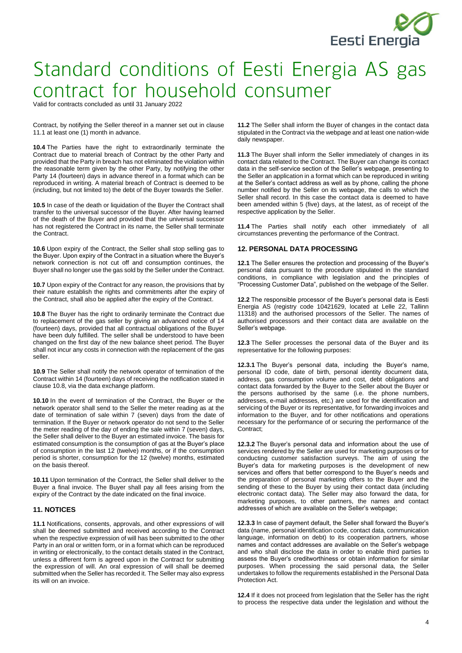

Valid for contracts concluded as until 31 January 2022

Contract, by notifying the Seller thereof in a manner set out in clause 11.1 at least one (1) month in advance.

**10.4** The Parties have the right to extraordinarily terminate the Contract due to material breach of Contract by the other Party and provided that the Party in breach has not eliminated the violation within the reasonable term given by the other Party, by notifying the other Party 14 (fourteen) days in advance thereof in a format which can be reproduced in writing. A material breach of Contract is deemed to be (including, but not limited to) the debt of the Buyer towards the Seller.

**10.5** In case of the death or liquidation of the Buyer the Contract shall transfer to the universal successor of the Buyer. After having learned of the death of the Buyer and provided that the universal successor has not registered the Contract in its name, the Seller shall terminate the Contract.

**10.6** Upon expiry of the Contract, the Seller shall stop selling gas to the Buyer. Upon expiry of the Contract in a situation where the Buyer's network connection is not cut off and consumption continues, the Buyer shall no longer use the gas sold by the Seller under the Contract.

**10.7** Upon expiry of the Contract for any reason, the provisions that by their nature establish the rights and commitments after the expiry of the Contract, shall also be applied after the expiry of the Contract.

**10.8** The Buyer has the right to ordinarily terminate the Contract due to replacement of the gas seller by giving an advanced notice of 14 (fourteen) days, provided that all contractual obligations of the Buyer have been duly fulfilled. The seller shall be understood to have been changed on the first day of the new balance sheet period. The Buyer shall not incur any costs in connection with the replacement of the gas seller.

**10.9** The Seller shall notify the network operator of termination of the Contract within 14 (fourteen) days of receiving the notification stated in clause 10.8, via the data exchange platform.

**10.10** In the event of termination of the Contract, the Buyer or the network operator shall send to the Seller the meter reading as at the date of termination of sale within 7 (seven) days from the date of termination. If the Buyer or network operator do not send to the Seller the meter reading of the day of ending the sale within 7 (seven) days, the Seller shall deliver to the Buyer an estimated invoice. The basis for estimated consumption is the consumption of gas at the Buyer's place of consumption in the last 12 (twelve) months, or if the consumption period is shorter, consumption for the 12 (twelve) months, estimated on the basis thereof.

**10.11** Upon termination of the Contract, the Seller shall deliver to the Buyer a final invoice. The Buyer shall pay all fees arising from the expiry of the Contract by the date indicated on the final invoice.

# **11. NOTICES**

**11.1** Notifications, consents, approvals, and other expressions of will shall be deemed submitted and received according to the Contract when the respective expression of will has been submitted to the other Party in an oral or written form, or in a format which can be reproduced in writing or electronically, to the contact details stated in the Contract, unless a different form is agreed upon in the Contract for submitting the expression of will. An oral expression of will shall be deemed submitted when the Seller has recorded it. The Seller may also express its will on an invoice.

**11.2** The Seller shall inform the Buyer of changes in the contact data stipulated in the Contract via the webpage and at least one nation-wide daily newspaper.

**11.3** The Buyer shall inform the Seller immediately of changes in its contact data related to the Contract. The Buyer can change its contact data in the self-service section of the Seller's webpage, presenting to the Seller an application in a format which can be reproduced in writing at the Seller's contact address as well as by phone, calling the phone number notified by the Seller on its webpage, the calls to which the Seller shall record. In this case the contact data is deemed to have been amended within 5 (five) days, at the latest, as of receipt of the respective application by the Seller.

**11.4** The Parties shall notify each other immediately of all circumstances preventing the performance of the Contract.

#### **12. PERSONAL DATA PROCESSING**

**12.1** The Seller ensures the protection and processing of the Buyer's personal data pursuant to the procedure stipulated in the standard conditions, in compliance with legislation and the principles of "Processing Customer Data", published on the webpage of the Seller.

**12.2** The responsible processor of the Buyer's personal data is Eesti Energia AS (registry code 10421629, located at Lelle 22, Tallinn 11318) and the authorised processors of the Seller. The names of authorised processors and their contact data are available on the Seller's webpage.

**12.3** The Seller processes the personal data of the Buyer and its representative for the following purposes:

**12.3.1** The Buyer's personal data, including the Buyer's name, personal ID code, date of birth, personal identity document data, address, gas consumption volume and cost, debt obligations and contact data forwarded by the Buyer to the Seller about the Buyer or the persons authorised by the same (i.e. the phone numbers, addresses, e-mail addresses, etc.) are used for the identification and servicing of the Buyer or its representative, for forwarding invoices and information to the Buyer, and for other notifications and operations necessary for the performance of or securing the performance of the Contract;

**12.3.2** The Buyer's personal data and information about the use of services rendered by the Seller are used for marketing purposes or for conducting customer satisfaction surveys. The aim of using the Buyer's data for marketing purposes is the development of new services and offers that better correspond to the Buyer's needs and the preparation of personal marketing offers to the Buyer and the sending of these to the Buyer by using their contact data (including electronic contact data). The Seller may also forward the data, for marketing purposes, to other partners, the names and contact addresses of which are available on the Seller's webpage;

**12.3.3** In case of payment default, the Seller shall forward the Buyer's data (name, personal identification code, contact data, communication language, information on debt) to its cooperation partners, whose names and contact addresses are available on the Seller's webpage and who shall disclose the data in order to enable third parties to assess the Buyer's creditworthiness or obtain information for similar purposes. When processing the said personal data, the Seller undertakes to follow the requirements established in the Personal Data Protection Act.

**12.4** If it does not proceed from legislation that the Seller has the right to process the respective data under the legislation and without the